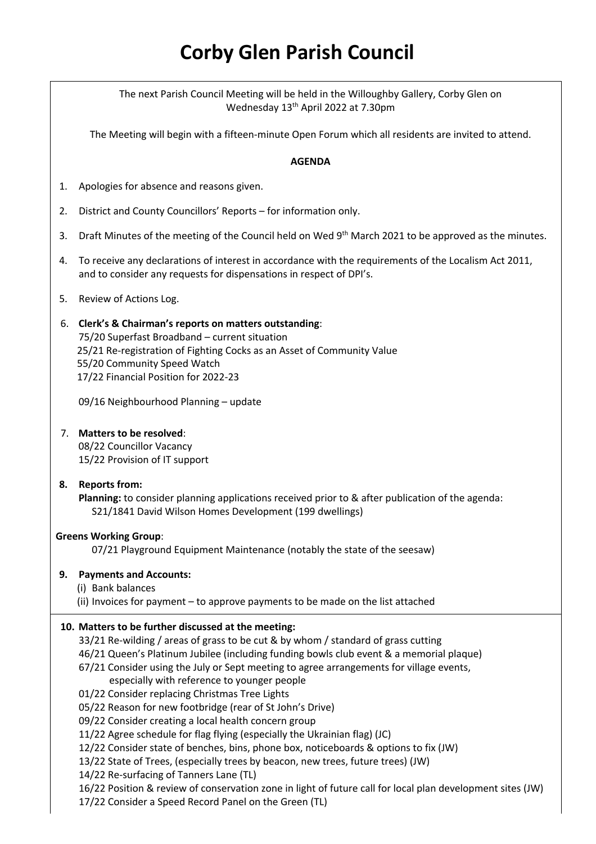# **Corby Glen Parish Council**

The next Parish Council Meeting will be held in the Willoughby Gallery, Corby Glen on Wednesday 13<sup>th</sup> April 2022 at 7.30pm

The Meeting will begin with a fifteen-minute Open Forum which all residents are invited to attend.

#### **AGENDA**

- 1. Apologies for absence and reasons given.
- 2. District and County Councillors' Reports for information only.
- 3. Draft Minutes of the meeting of the Council held on Wed 9<sup>th</sup> March 2021 to be approved as the minutes.
- 4. To receive any declarations of interest in accordance with the requirements of the Localism Act 2011, and to consider any requests for dispensations in respect of DPI's.

#### 5. Review of Actions Log.

## 6. **Clerk's & Chairman's reports on matters outstanding**: 75/20 Superfast Broadband – current situation 25/21 Re-registration of Fighting Cocks as an Asset of Community Value 55/20 Community Speed Watch 17/22 Financial Position for 2022-23

09/16 Neighbourhood Planning – update

## 7. **Matters to be resolved**:

08/22 Councillor Vacancy 15/22 Provision of IT support

## **8. Reports from:**

**Planning:** to consider planning applications received prior to & after publication of the agenda: S21/1841 David Wilson Homes Development (199 dwellings)

#### **Greens Working Group**:

07/21 Playground Equipment Maintenance (notably the state of the seesaw)

#### **9. Payments and Accounts:**

(i) Bank balances

(ii) Invoices for payment – to approve payments to be made on the list attached

## **10. Matters to be further discussed at the meeting:**

33/21 Re-wilding / areas of grass to be cut & by whom / standard of grass cutting

46/21 Queen's Platinum Jubilee (including funding bowls club event & a memorial plaque)

67/21 Consider using the July or Sept meeting to agree arrangements for village events,

#### especially with reference to younger people

01/22 Consider replacing Christmas Tree Lights

05/22 Reason for new footbridge (rear of St John's Drive)

09/22 Consider creating a local health concern group

11/22 Agree schedule for flag flying (especially the Ukrainian flag) (JC)

12/22 Consider state of benches, bins, phone box, noticeboards & options to fix (JW)

13/22 State of Trees, (especially trees by beacon, new trees, future trees) (JW)

14/22 Re-surfacing of Tanners Lane (TL)

16/22 Position & review of conservation zone in light of future call for local plan development sites (JW)

17/22 Consider a Speed Record Panel on the Green (TL)